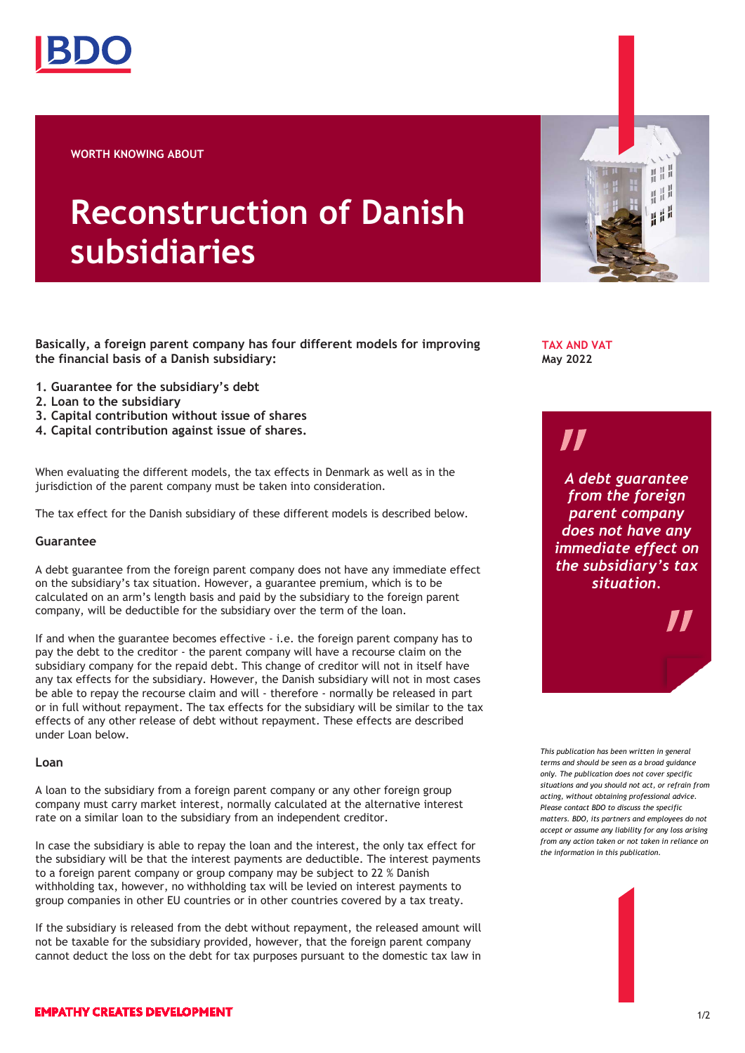

**WORTH KNOWING ABOUT**

# **Reconstruction of Danish subsidiaries**

**Basically, a foreign parent company has four different models for improving the financial basis of a Danish subsidiary:** 

- **1. Guarantee for the subsidiary's debt**
- **2. Loan to the subsidiary**
- **3. Capital contribution without issue of shares**
- **4. Capital contribution against issue of shares.**

When evaluating the different models, the tax effects in Denmark as well as in the jurisdiction of the parent company must be taken into consideration.

The tax effect for the Danish subsidiary of these different models is described below.

## **Guarantee**

A debt guarantee from the foreign parent company does not have any immediate effect on the subsidiary's tax situation. However, a guarantee premium, which is to be calculated on an arm's length basis and paid by the subsidiary to the foreign parent company, will be deductible for the subsidiary over the term of the loan.

If and when the guarantee becomes effective - i.e. the foreign parent company has to pay the debt to the creditor - the parent company will have a recourse claim on the subsidiary company for the repaid debt. This change of creditor will not in itself have any tax effects for the subsidiary. However, the Danish subsidiary will not in most cases be able to repay the recourse claim and will - therefore - normally be released in part or in full without repayment. The tax effects for the subsidiary will be similar to the tax effects of any other release of debt without repayment. These effects are described under Loan below.

#### **Loan**

A loan to the subsidiary from a foreign parent company or any other foreign group company must carry market interest, normally calculated at the alternative interest rate on a similar loan to the subsidiary from an independent creditor.

In case the subsidiary is able to repay the loan and the interest, the only tax effect for the subsidiary will be that the interest payments are deductible. The interest payments to a foreign parent company or group company may be subject to 22 % Danish withholding tax, however, no withholding tax will be levied on interest payments to group companies in other EU countries or in other countries covered by a tax treaty.

If the subsidiary is released from the debt without repayment, the released amount will not be taxable for the subsidiary provided, however, that the foreign parent company cannot deduct the loss on the debt for tax purposes pursuant to the domestic tax law in

**TAX AND VAT May 2022**

# 71

*A debt guarantee from the foreign parent company does not have any immediate effect on the subsidiary's tax situation.*

표표 亞

*This publication has been written in general terms and should be seen as a broad guidance only. The publication does not cover specific situations and you should not act, or refrain from acting, without obtaining professional advice. Please contact BDO to discuss the specific matters. BDO, its partners and employees do not accept or assume any liability for any loss arising from any action taken or not taken in reliance on the information in this publication.*